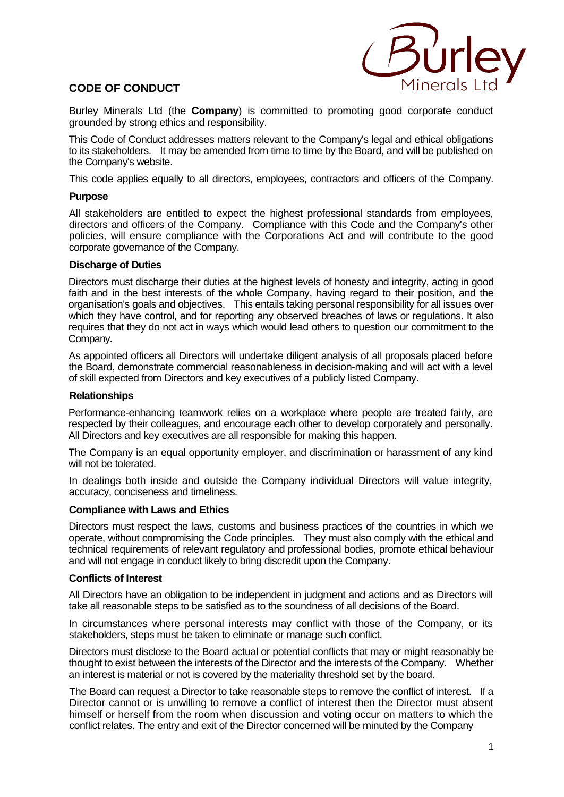# **CODE OF CONDUCT**



Burley Minerals Ltd (the **Company**) is committed to promoting good corporate conduct grounded by strong ethics and responsibility.

This Code of Conduct addresses matters relevant to the Company's legal and ethical obligations to its stakeholders. It may be amended from time to time by the Board, and will be published on the Company's website.

This code applies equally to all directors, employees, contractors and officers of the Company.

# **Purpose**

All stakeholders are entitled to expect the highest professional standards from employees, directors and officers of the Company. Compliance with this Code and the Company's other policies, will ensure compliance with the Corporations Act and will contribute to the good corporate governance of the Company.

# **Discharge of Duties**

Directors must discharge their duties at the highest levels of honesty and integrity, acting in good faith and in the best interests of the whole Company, having regard to their position, and the organisation's goals and objectives. This entails taking personal responsibility for all issues over which they have control, and for reporting any observed breaches of laws or regulations. It also requires that they do not act in ways which would lead others to question our commitment to the Company.

As appointed officers all Directors will undertake diligent analysis of all proposals placed before the Board, demonstrate commercial reasonableness in decision-making and will act with a level of skill expected from Directors and key executives of a publicly listed Company.

# **Relationships**

Performance-enhancing teamwork relies on a workplace where people are treated fairly, are respected by their colleagues, and encourage each other to develop corporately and personally. All Directors and key executives are all responsible for making this happen.

The Company is an equal opportunity employer, and discrimination or harassment of any kind will not be tolerated.

In dealings both inside and outside the Company individual Directors will value integrity, accuracy, conciseness and timeliness.

# **Compliance with Laws and Ethics**

Directors must respect the laws, customs and business practices of the countries in which we operate, without compromising the Code principles. They must also comply with the ethical and technical requirements of relevant regulatory and professional bodies, promote ethical behaviour and will not engage in conduct likely to bring discredit upon the Company.

# **Conflicts of Interest**

All Directors have an obligation to be independent in judgment and actions and as Directors will take all reasonable steps to be satisfied as to the soundness of all decisions of the Board.

In circumstances where personal interests may conflict with those of the Company, or its stakeholders, steps must be taken to eliminate or manage such conflict.

Directors must disclose to the Board actual or potential conflicts that may or might reasonably be thought to exist between the interests of the Director and the interests of the Company. Whether an interest is material or not is covered by the materiality threshold set by the board.

The Board can request a Director to take reasonable steps to remove the conflict of interest. If a Director cannot or is unwilling to remove a conflict of interest then the Director must absent himself or herself from the room when discussion and voting occur on matters to which the conflict relates. The entry and exit of the Director concerned will be minuted by the Company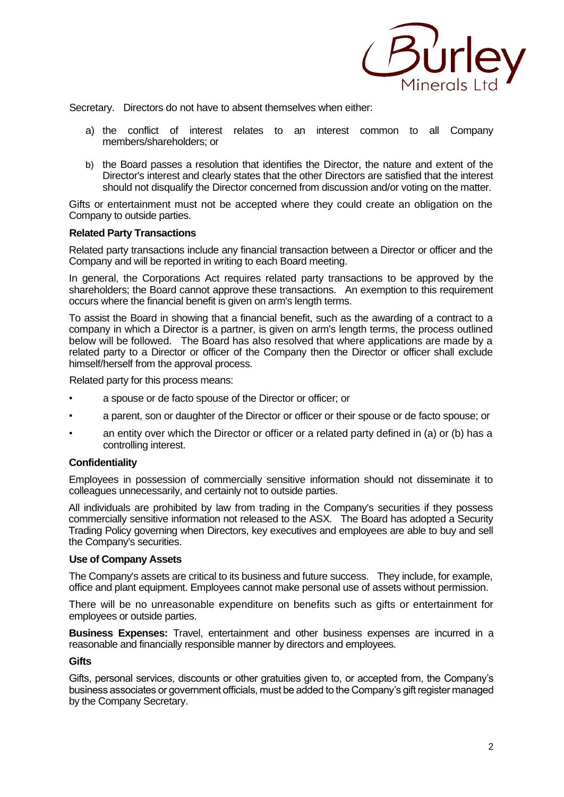

Secretary. Directors do not have to absent themselves when either:

- a) the conflict of interest relates to an interest common to all Company members/shareholders; or
- b) the Board passes a resolution that identifies the Director, the nature and extent of the Director's interest and clearly states that the other Directors are satisfied that the interest should not disqualify the Director concerned from discussion and/or voting on the matter.

Gifts or entertainment must not be accepted where they could create an obligation on the Company to outside parties.

#### **Related Party Transactions**

Related party transactions include any financial transaction between a Director or officer and the Company and will be reported in writing to each Board meeting.

In general, the Corporations Act requires related party transactions to be approved by the shareholders; the Board cannot approve these transactions. An exemption to this requirement occurs where the financial benefit is given on arm's length terms.

To assist the Board in showing that a financial benefit, such as the awarding of a contract to a company in which a Director is a partner, is given on arm's length terms, the process outlined below will be followed. The Board has also resolved that where applications are made by a related party to a Director or officer of the Company then the Director or officer shall exclude himself/herself from the approval process.

Related party for this process means:

- a spouse or de facto spouse of the Director or officer; or
- a parent, son or daughter of the Director or officer or their spouse or de facto spouse; or
- an entity over which the Director or officer or a related party defined in (a) or (b) has a controlling interest.

# **Confidentiality**

Employees in possession of commercially sensitive information should not disseminate it to colleagues unnecessarily, and certainly not to outside parties.

All individuals are prohibited by law from trading in the Company's securities if they possess commercially sensitive information not released to the ASX. The Board has adopted a Security Trading Policy governing when Directors, key executives and employees are able to buy and sell the Company's securities.

#### **Use of Company Assets**

The Company's assets are critical to its business and future success. They include, for example, office and plant equipment. Employees cannot make personal use of assets without permission.

There will be no unreasonable expenditure on benefits such as gifts or entertainment for employees or outside parties.

**Business Expenses:** Travel, entertainment and other business expenses are incurred in a reasonable and financially responsible manner by directors and employees.

#### **Gifts**

Gifts, personal services, discounts or other gratuities given to, or accepted from, the Company's business associates or government officials, must be added to the Company's gift register managed by the Company Secretary.